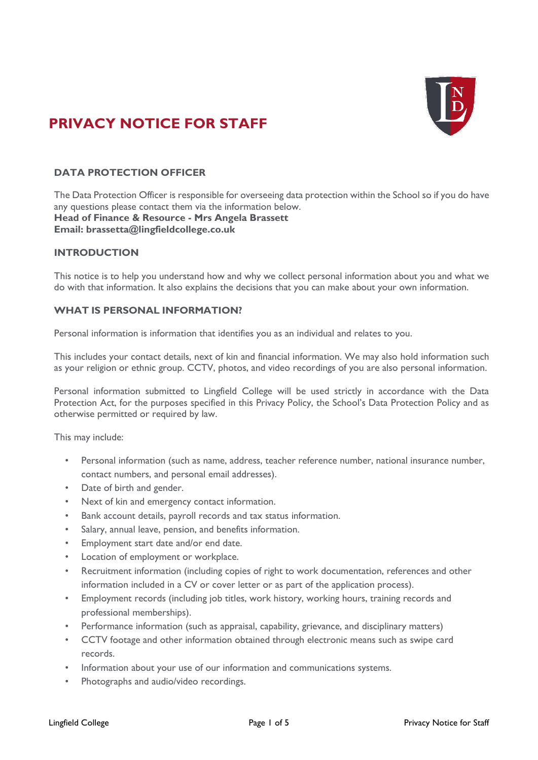# **PRIVACY NOTICE FOR STAFF**



# **DATA PROTECTION OFFICER**

The Data Protection Officer is responsible for overseeing data protection within the School so if you do have any questions please contact them via the information below. **Head of Finance & Resource - Mrs Angela Brassett Email: [brassetta@lingfieldcollege.co.uk](mailto:brassetta@lingfieldcollege.co.uk)**

# **INTRODUCTION**

This notice is to help you understand how and why we collect personal information about you and what we do with that information. It also explains the decisions that you can make about your own information.

#### **WHAT IS PERSONAL INFORMATION?**

Personal information is information that identifies you as an individual and relates to you.

This includes your contact details, next of kin and financial information. We may also hold information such as your religion or ethnic group. CCTV, photos, and video recordings of you are also personal information.

Personal information submitted to Lingfield College will be used strictly in accordance with the Data Protection Act, for the purposes specified in this Privacy Policy, the School's Data Protection Policy and as otherwise permitted or required by law.

This may include:

- Personal information (such as name, address, teacher reference number, national insurance number, contact numbers, and personal email addresses).
- Date of birth and gender.
- Next of kin and emergency contact information.
- Bank account details, payroll records and tax status information.
- Salary, annual leave, pension, and benefits information.
- Employment start date and/or end date.
- Location of employment or workplace.
- Recruitment information (including copies of right to work documentation, references and other information included in a CV or cover letter or as part of the application process).
- Employment records (including job titles, work history, working hours, training records and professional memberships).
- Performance information (such as appraisal, capability, grievance, and disciplinary matters)
- CCTV footage and other information obtained through electronic means such as swipe card records.
- Information about your use of our information and communications systems.
- Photographs and audio/video recordings.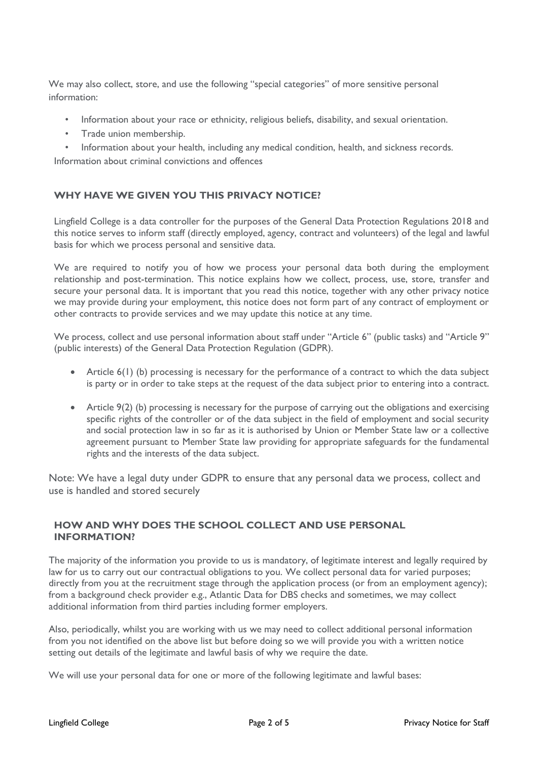We may also collect, store, and use the following "special categories" of more sensitive personal information:

- Information about your race or ethnicity, religious beliefs, disability, and sexual orientation.
- Trade union membership.

• Information about your health, including any medical condition, health, and sickness records. Information about criminal convictions and offences

#### **WHY HAVE WE GIVEN YOU THIS PRIVACY NOTICE?**

Lingfield College is a data controller for the purposes of the General Data Protection Regulations 2018 and this notice serves to inform staff (directly employed, agency, contract and volunteers) of the legal and lawful basis for which we process personal and sensitive data.

We are required to notify you of how we process your personal data both during the employment relationship and post-termination. This notice explains how we collect, process, use, store, transfer and secure your personal data. It is important that you read this notice, together with any other privacy notice we may provide during your employment, this notice does not form part of any contract of employment or other contracts to provide services and we may update this notice at any time.

We process, collect and use personal information about staff under "Article 6" (public tasks) and "Article 9" (public interests) of the General Data Protection Regulation (GDPR).

- Article 6(1) (b) processing is necessary for the performance of a contract to which the data subject is party or in order to take steps at the request of the data subject prior to entering into a contract.
- Article 9(2) (b) processing is necessary for the purpose of carrying out the obligations and exercising specific rights of the controller or of the data subject in the field of employment and social security and social protection law in so far as it is authorised by Union or Member State law or a collective agreement pursuant to Member State law providing for appropriate safeguards for the fundamental rights and the interests of the data subject.

Note: We have a legal duty under GDPR to ensure that any personal data we process, collect and use is handled and stored securely

#### **HOW AND WHY DOES THE SCHOOL COLLECT AND USE PERSONAL INFORMATION?**

The majority of the information you provide to us is mandatory, of legitimate interest and legally required by law for us to carry out our contractual obligations to you. We collect personal data for varied purposes; directly from you at the recruitment stage through the application process (or from an employment agency); from a background check provider e.g., Atlantic Data for DBS checks and sometimes, we may collect additional information from third parties including former employers.

Also, periodically, whilst you are working with us we may need to collect additional personal information from you not identified on the above list but before doing so we will provide you with a written notice setting out details of the legitimate and lawful basis of why we require the date.

We will use your personal data for one or more of the following legitimate and lawful bases: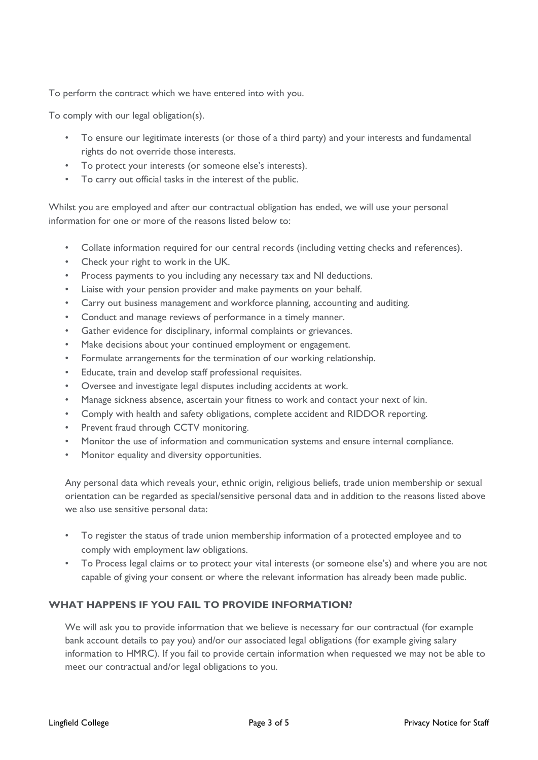To perform the contract which we have entered into with you.

To comply with our legal obligation(s).

- To ensure our legitimate interests (or those of a third party) and your interests and fundamental rights do not override those interests.
- To protect your interests (or someone else's interests).
- To carry out official tasks in the interest of the public.

Whilst you are employed and after our contractual obligation has ended, we will use your personal information for one or more of the reasons listed below to:

- Collate information required for our central records (including vetting checks and references).
- Check your right to work in the UK.
- Process payments to you including any necessary tax and NI deductions.
- Liaise with your pension provider and make payments on your behalf.
- Carry out business management and workforce planning, accounting and auditing.
- Conduct and manage reviews of performance in a timely manner.
- Gather evidence for disciplinary, informal complaints or grievances.
- Make decisions about your continued employment or engagement.
- Formulate arrangements for the termination of our working relationship.
- Educate, train and develop staff professional requisites.
- Oversee and investigate legal disputes including accidents at work.
- Manage sickness absence, ascertain your fitness to work and contact your next of kin.
- Comply with health and safety obligations, complete accident and RIDDOR reporting.
- Prevent fraud through CCTV monitoring.
- Monitor the use of information and communication systems and ensure internal compliance.
- Monitor equality and diversity opportunities.

Any personal data which reveals your, ethnic origin, religious beliefs, trade union membership or sexual orientation can be regarded as special/sensitive personal data and in addition to the reasons listed above we also use sensitive personal data:

- To register the status of trade union membership information of a protected employee and to comply with employment law obligations.
- To Process legal claims or to protect your vital interests (or someone else's) and where you are not capable of giving your consent or where the relevant information has already been made public.

#### **WHAT HAPPENS IF YOU FAIL TO PROVIDE INFORMATION?**

We will ask you to provide information that we believe is necessary for our contractual (for example bank account details to pay you) and/or our associated legal obligations (for example giving salary information to HMRC). If you fail to provide certain information when requested we may not be able to meet our contractual and/or legal obligations to you.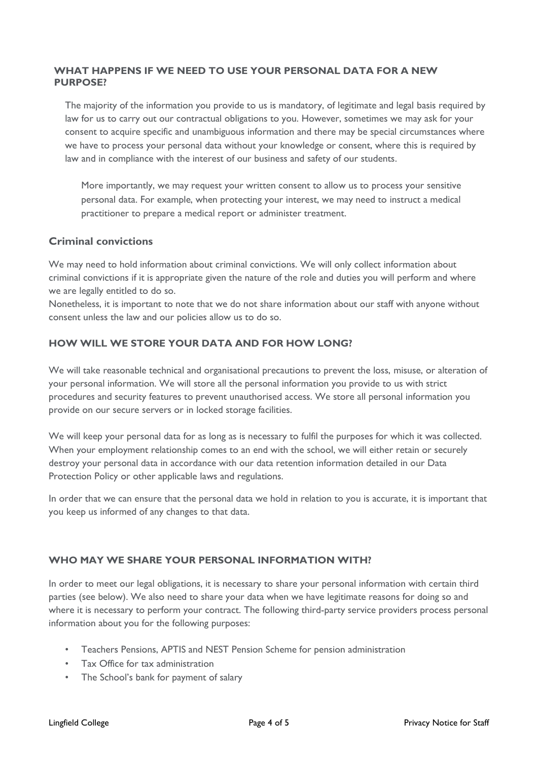#### **WHAT HAPPENS IF WE NEED TO USE YOUR PERSONAL DATA FOR A NEW PURPOSE?**

The majority of the information you provide to us is mandatory, of legitimate and legal basis required by law for us to carry out our contractual obligations to you. However, sometimes we may ask for your consent to acquire specific and unambiguous information and there may be special circumstances where we have to process your personal data without your knowledge or consent, where this is required by law and in compliance with the interest of our business and safety of our students.

More importantly, we may request your written consent to allow us to process your sensitive personal data. For example, when protecting your interest, we may need to instruct a medical practitioner to prepare a medical report or administer treatment.

# **Criminal convictions**

We may need to hold information about criminal convictions. We will only collect information about criminal convictions if it is appropriate given the nature of the role and duties you will perform and where we are legally entitled to do so.

Nonetheless, it is important to note that we do not share information about our staff with anyone without consent unless the law and our policies allow us to do so.

# **HOW WILL WE STORE YOUR DATA AND FOR HOW LONG?**

We will take reasonable technical and organisational precautions to prevent the loss, misuse, or alteration of your personal information. We will store all the personal information you provide to us with strict procedures and security features to prevent unauthorised access. We store all personal information you provide on our secure servers or in locked storage facilities.

We will keep your personal data for as long as is necessary to fulfil the purposes for which it was collected. When your employment relationship comes to an end with the school, we will either retain or securely destroy your personal data in accordance with our data retention information detailed in our Data Protection Policy or other applicable laws and regulations.

In order that we can ensure that the personal data we hold in relation to you is accurate, it is important that you keep us informed of any changes to that data.

#### **WHO MAY WE SHARE YOUR PERSONAL INFORMATION WITH?**

In order to meet our legal obligations, it is necessary to share your personal information with certain third parties (see below). We also need to share your data when we have legitimate reasons for doing so and where it is necessary to perform your contract. The following third-party service providers process personal information about you for the following purposes:

- Teachers Pensions, APTIS and NEST Pension Scheme for pension administration
- Tax Office for tax administration
- The School's bank for payment of salary